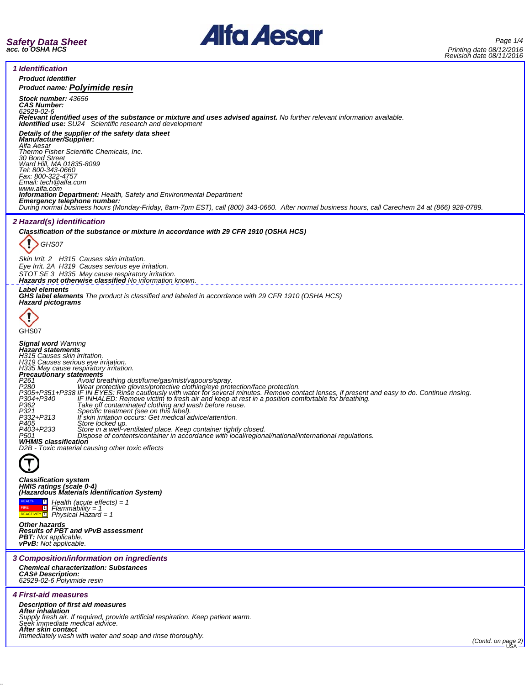

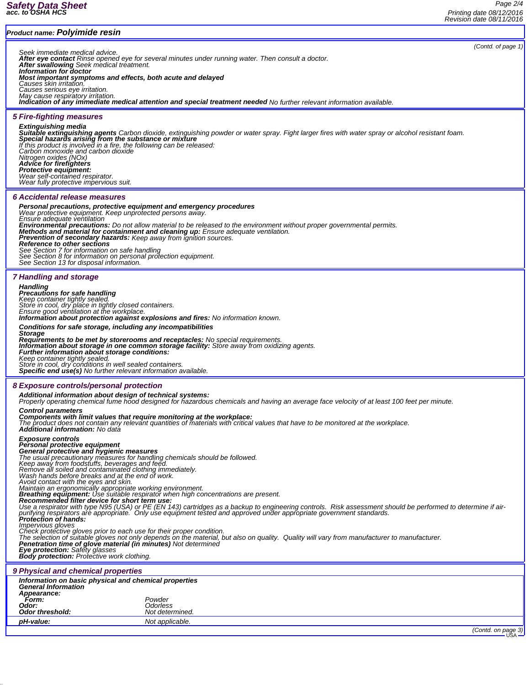## *Product name: Polyimide resin*

*(Contd. of page 1) Seek immediate medical advice. After eye contact Rinse opened eye for several minutes under running water. Then consult a doctor. After swallowing Seek medical treatment. Information for doctor Most important symptoms and effects, both acute and delayed Causes skin irritation. Causes serious eye irritation. May cause respiratory irritation. Indication of any immediate medical attention and special treatment needed No further relevant information available. 5 Fire-fighting measures* **Extinguishing media**<br>**Suitable extinguishing agents** Carbon dioxide, extinguishing powder or water spray. Fight larger fires with water spray or alcohol resistant foam.<br>**Special hazards arising from the substance or mixtu** *If this product is involved in a fire, the following can be released: Carbon monoxide and carbon dioxide Nitrogen oxides (NOx) Advice for firefighters Protective equipment: Wear self-contained respirator. Wear fully protective impervious suit. 6 Accidental release measures Personal precautions, protective equipment and emergency procedures* Wear protective equipment. Keep unprotected persons away.<br>
Ensure adequate ventilation<br> **Environmental precautions:** Do not allow material to be released to the environment without proper governmental permits. **Environmental precautions:** Do not allow material to be released to the environment without proper governmental permits.<br>**Methods and material for containment and cleaning up:** Ensure adequate ventilation.<br>**Prevention of** *7 Handling and storage Handling Precautions for safe handling Keep container tightly sealed. Store in cool, dry place in tightly closed containers. Ensure good ventilation at the workplace. Information about protection against explosions and fires: No information known. Conditions for safe storage, including any incompatibilities* Storage<br>Requirements to be met by storerooms and receptacles: No special requirements Information about storage in one common storage facility: Store away from oxidizing agents. **Further information about storage conditions:**<br>Keep container tightly sealed. *Store in cool, dry conditions in well sealed containers. Specific end use(s) No further relevant information available. 8 Exposure controls/personal protection Additional information about design of technical systems: Properly operating chemical fume hood designed for hazardous chemicals and having an average face velocity of at least 100 feet per minute.* Control parameters<br>Components with limit values that require monitoring at the workplace:<br>The product does not contain any relevant quantities of materials with critical values that have to be monitored at the workplace.<br>A *Exposure controls Personal protective equipment General protective and hygienic measures* The usual precautionary measures for handling chemicals should be followed.<br>Keep away from foodstuffs, beverages and feed.<br>Remove all soiled and contaminated clothing immediately.<br>Wash hands before breaks and at the end of Use a respirator with type N95 (USA) or PE (EN 143) cartridges as a backup to engineering controls. Risk assessment should be performed to determine if air-<br>purifying respirators are appropriate. Only use equipment tested Impervious gloves<br>Check protective gloves prior to each use for their proper condition.<br>The selection of suitable gloves not only depends on the material, but also on quality. Quality will vary from manufacturer to manufac *9 Physical and chemical properties Information on basic physical and chemical properties General Information Appearance: Form: Powder Odor: Odorless Odor threshold: Not determined. pH-value:* Not applicable.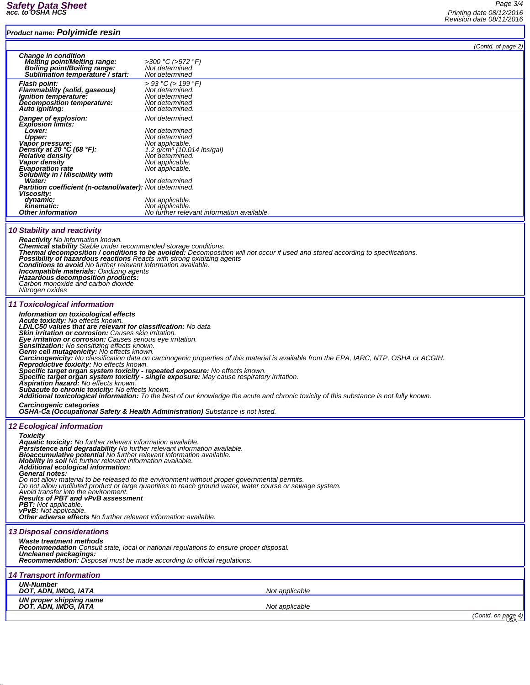## *Product name: Polyimide resin*

*Page 3/4 Printing date 08/12/2016 Revision date 08/11/2016*

| rivuuttilallie. Fulylilliut Itoliil |                                                                                                                                                                                                                                                                                                                                                                                                         |                                                                                                                                                                                                          |                    |  |
|-------------------------------------|---------------------------------------------------------------------------------------------------------------------------------------------------------------------------------------------------------------------------------------------------------------------------------------------------------------------------------------------------------------------------------------------------------|----------------------------------------------------------------------------------------------------------------------------------------------------------------------------------------------------------|--------------------|--|
|                                     |                                                                                                                                                                                                                                                                                                                                                                                                         |                                                                                                                                                                                                          | (Contd. of page 2) |  |
|                                     | <b>Change in condition</b>                                                                                                                                                                                                                                                                                                                                                                              |                                                                                                                                                                                                          |                    |  |
|                                     | Melting point/Melting range:<br><b>Boiling point/Boiling range:</b>                                                                                                                                                                                                                                                                                                                                     | >300 °C (>572 °F)<br>Not determined                                                                                                                                                                      |                    |  |
|                                     | Sublimation temperature / start:                                                                                                                                                                                                                                                                                                                                                                        | Not determined                                                                                                                                                                                           |                    |  |
|                                     | <b>Flash point:</b><br><b>Flammability (solid, gaseous)</b>                                                                                                                                                                                                                                                                                                                                             | $> 93$ °C ( $> 199$ °F)<br>Not determined.                                                                                                                                                               |                    |  |
|                                     | Ignition temperature:                                                                                                                                                                                                                                                                                                                                                                                   | Not determined                                                                                                                                                                                           |                    |  |
|                                     | Decomposition temperature:<br>Auto igniting:                                                                                                                                                                                                                                                                                                                                                            | Not determined<br>Not determined.                                                                                                                                                                        |                    |  |
|                                     | Danger of explosion:                                                                                                                                                                                                                                                                                                                                                                                    | Not determined.                                                                                                                                                                                          |                    |  |
|                                     | <b>Explosion limits:</b>                                                                                                                                                                                                                                                                                                                                                                                |                                                                                                                                                                                                          |                    |  |
|                                     | <b>Lower:</b><br><b>Upper:</b>                                                                                                                                                                                                                                                                                                                                                                          | Not determined<br>Not determined                                                                                                                                                                         |                    |  |
|                                     | Vapor pressure:                                                                                                                                                                                                                                                                                                                                                                                         | Not applicable.                                                                                                                                                                                          |                    |  |
|                                     | Density at 20 °C (68 °F):<br><b>Relative density</b>                                                                                                                                                                                                                                                                                                                                                    | $1.2$ g/cm <sup>3</sup> (10.014 lbs/gal)<br>Not determined.                                                                                                                                              |                    |  |
|                                     | Vapor density<br>Evaporation rate                                                                                                                                                                                                                                                                                                                                                                       | Not applicable.<br>Not applicable.                                                                                                                                                                       |                    |  |
|                                     | Solubility in / Miscibility with                                                                                                                                                                                                                                                                                                                                                                        |                                                                                                                                                                                                          |                    |  |
|                                     | Water:<br><b>Partition coefficient (n-octanol/water):</b> Not determined.                                                                                                                                                                                                                                                                                                                               | Not determined                                                                                                                                                                                           |                    |  |
|                                     | Viscosity:                                                                                                                                                                                                                                                                                                                                                                                              |                                                                                                                                                                                                          |                    |  |
|                                     | dynamic:<br>kinematic:                                                                                                                                                                                                                                                                                                                                                                                  | Not applicable.<br>Not applicable.                                                                                                                                                                       |                    |  |
|                                     | <b>Other information</b>                                                                                                                                                                                                                                                                                                                                                                                | No further relevant information available.                                                                                                                                                               |                    |  |
|                                     |                                                                                                                                                                                                                                                                                                                                                                                                         |                                                                                                                                                                                                          |                    |  |
|                                     | <b>10 Stability and reactivity</b>                                                                                                                                                                                                                                                                                                                                                                      |                                                                                                                                                                                                          |                    |  |
|                                     | <b>Reactivity</b> No information known.                                                                                                                                                                                                                                                                                                                                                                 |                                                                                                                                                                                                          |                    |  |
|                                     | Chemical stability Stable under recommended storage conditions.<br>Thermal decomposition / conditions to be avoided: Decomposition will not occur if used and stored according to specifications.<br>Possibility of hazardous reactions Reacts with strong oxidizing agents<br><b>Conditions to avoid</b> No further relevant information available.<br><b>Incompatible materials: Oxidizing agents</b> |                                                                                                                                                                                                          |                    |  |
|                                     |                                                                                                                                                                                                                                                                                                                                                                                                         |                                                                                                                                                                                                          |                    |  |
|                                     |                                                                                                                                                                                                                                                                                                                                                                                                         |                                                                                                                                                                                                          |                    |  |
|                                     | Hazardous decomposition products:<br>Carbon monoxide and carbon dioxide                                                                                                                                                                                                                                                                                                                                 |                                                                                                                                                                                                          |                    |  |
|                                     | Nitrogen oxides                                                                                                                                                                                                                                                                                                                                                                                         |                                                                                                                                                                                                          |                    |  |
|                                     | 11 Toxicological information                                                                                                                                                                                                                                                                                                                                                                            |                                                                                                                                                                                                          |                    |  |
|                                     | Information on toxicological effects                                                                                                                                                                                                                                                                                                                                                                    |                                                                                                                                                                                                          |                    |  |
| Acute toxicity: No effects known.   |                                                                                                                                                                                                                                                                                                                                                                                                         |                                                                                                                                                                                                          |                    |  |
|                                     | <b>LD/LC50 values that are relevant for classification:</b> No data<br><b>Skin irritation or corrosion:</b> Causes skin irritation.                                                                                                                                                                                                                                                                     |                                                                                                                                                                                                          |                    |  |
|                                     | <b>Eye irritation or corrosion:</b> Causes serious eye irritation.                                                                                                                                                                                                                                                                                                                                      |                                                                                                                                                                                                          |                    |  |
|                                     | <b>Sensitization:</b> No sensitizing effects known.<br>Germ cell mutagenicity: No effects known.                                                                                                                                                                                                                                                                                                        |                                                                                                                                                                                                          |                    |  |
|                                     | Carcinogenicity: No classification data on carcinogenic properties of this material is available from the EPA, IARC, NTP, OSHA or ACGIH.<br><b>Reproductive toxicity:</b> No effects known.                                                                                                                                                                                                             |                                                                                                                                                                                                          |                    |  |
|                                     | Specific target organ system toxicity - repeated exposure: No effects known.                                                                                                                                                                                                                                                                                                                            |                                                                                                                                                                                                          |                    |  |
|                                     | Specific target organ system toxicity - single exposure: May cause respiratory irritation.<br>Aspiration hazard: No effects known.                                                                                                                                                                                                                                                                      |                                                                                                                                                                                                          |                    |  |
|                                     | Subacute to chronic toxicity: No effects known.                                                                                                                                                                                                                                                                                                                                                         |                                                                                                                                                                                                          |                    |  |
|                                     | Additional toxicological information: To the best of our knowledge the acute and chronic toxicity of this substance is not fully known.                                                                                                                                                                                                                                                                 |                                                                                                                                                                                                          |                    |  |
|                                     | Carcinogenic categories<br>OSHA-Ca (Occupational Safety & Health Administration) Substance is not listed.                                                                                                                                                                                                                                                                                               |                                                                                                                                                                                                          |                    |  |
|                                     |                                                                                                                                                                                                                                                                                                                                                                                                         |                                                                                                                                                                                                          |                    |  |
|                                     | <b>12 Ecological information</b><br><b>Toxicity</b>                                                                                                                                                                                                                                                                                                                                                     |                                                                                                                                                                                                          |                    |  |
|                                     |                                                                                                                                                                                                                                                                                                                                                                                                         |                                                                                                                                                                                                          |                    |  |
|                                     | Aquatic toxicity: No further relevant information available.<br>Persistence and degradability No further relevant information available.<br><b>Bioaccumulative potential</b> No further relevant information available.                                                                                                                                                                                 |                                                                                                                                                                                                          |                    |  |
|                                     | Mobility in soil No further relevant information available.                                                                                                                                                                                                                                                                                                                                             |                                                                                                                                                                                                          |                    |  |
|                                     | Additional ecological information:<br>General notes:                                                                                                                                                                                                                                                                                                                                                    |                                                                                                                                                                                                          |                    |  |
|                                     |                                                                                                                                                                                                                                                                                                                                                                                                         | Do not allow material to be released to the environment without proper governmental permits.<br>Do not allow undiluted product or large quantities to reach ground water, water course or sewage system. |                    |  |
|                                     | Avoid transfer into the environment.                                                                                                                                                                                                                                                                                                                                                                    |                                                                                                                                                                                                          |                    |  |
|                                     | <b>Results of PBT and vPvB assessment</b>                                                                                                                                                                                                                                                                                                                                                               |                                                                                                                                                                                                          |                    |  |
|                                     | <b>PBT:</b> Not applicable.<br><b>vPvB:</b> Not applicable.                                                                                                                                                                                                                                                                                                                                             |                                                                                                                                                                                                          |                    |  |
|                                     | Other adverse effects No further relevant information available.                                                                                                                                                                                                                                                                                                                                        |                                                                                                                                                                                                          |                    |  |
|                                     | <b>13 Disposal considerations</b>                                                                                                                                                                                                                                                                                                                                                                       |                                                                                                                                                                                                          |                    |  |
|                                     | Waste treatment methods                                                                                                                                                                                                                                                                                                                                                                                 |                                                                                                                                                                                                          |                    |  |
|                                     | Uncleaned packagings:                                                                                                                                                                                                                                                                                                                                                                                   | Recommendation Consult state, local or national regulations to ensure proper disposal.                                                                                                                   |                    |  |
|                                     | <b>Recommendation:</b> Disposal must be made according to official regulations.                                                                                                                                                                                                                                                                                                                         |                                                                                                                                                                                                          |                    |  |
|                                     | <b>14 Transport information</b>                                                                                                                                                                                                                                                                                                                                                                         |                                                                                                                                                                                                          |                    |  |
|                                     | <b>UN-Number</b>                                                                                                                                                                                                                                                                                                                                                                                        |                                                                                                                                                                                                          |                    |  |
|                                     | DOT, ADN, IMDG, IATA                                                                                                                                                                                                                                                                                                                                                                                    | Not applicable                                                                                                                                                                                           |                    |  |
|                                     | UN proper shipping name<br>DOT, ADN, IMDG, IATA                                                                                                                                                                                                                                                                                                                                                         |                                                                                                                                                                                                          |                    |  |
|                                     |                                                                                                                                                                                                                                                                                                                                                                                                         | Not applicable                                                                                                                                                                                           |                    |  |
|                                     |                                                                                                                                                                                                                                                                                                                                                                                                         |                                                                                                                                                                                                          | (Contd. on page 4) |  |